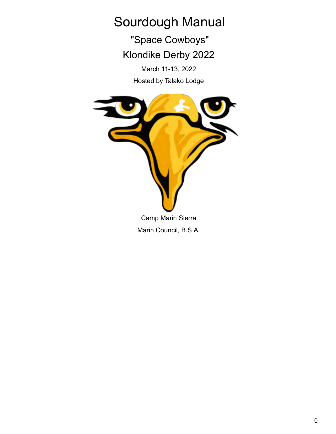# Sourdough Manual

"Space Cowboys" Klondike Derby 2022

March 11-13, 2022

Hosted by Talako Lodge

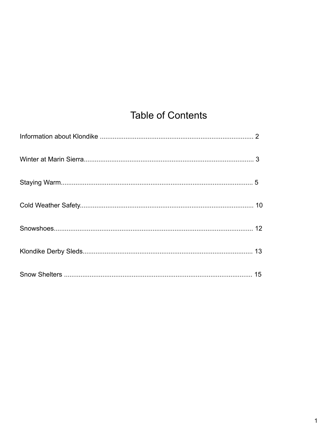## **Table of Contents**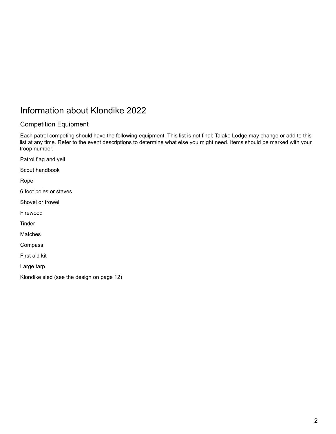## Information about Klondike 2022

## Competition Equipment

Each patrol competing should have the following equipment. This list is not final; Talako Lodge may change or add to this list at any time. Refer to the event descriptions to determine what else you might need. Items should be marked with your troop number.

Patrol flag and yell

Scout handbook

Rope

6 foot poles or staves

Shovel or trowel

Firewood

**Tinder** 

**Matches** 

Compass

First aid kit

Large tarp

Klondike sled (see the design on page 12)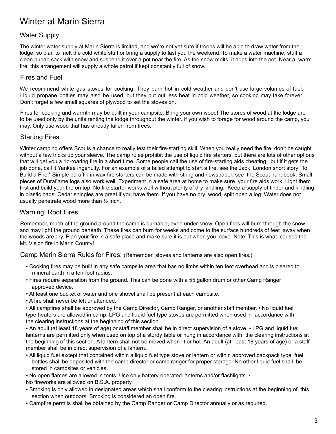## Winter at Marin Sierra

### Water Supply

The winter water supply at Marin Sierra is limited, and we're not yet sure if troops will be able to draw water from the lodge, so plan to melt the cold white stuff or bring a supply to last you the weekend. To make a water machine, stuff a clean burlap sack with snow and suspend it over a pot near the fire. As the snow melts, it drips into the pot. Near a warm fire, this arrangement will supply a whole patrol if kept constantly full of snow.

#### Fires and Fuel

We recommend white gas stoves for cooking. They burn hot in cold weather and don't use large volumes of fuel. Liquid propane bottles may also be used, but they put out less heat in cold weather, so cooking may take forever. Don't forget a few small squares of plywood to set the stoves on.

Fires for cooking and warmth may be built in your campsite. Bring your own wood! The stores of wood at the lodge are to be used only by the units renting the lodge throughout the winter. If you wish to forage for wood around the camp, you may. Only use wood that has already fallen from trees.

### Starting Fires

Winter camping offers Scouts a chance to really test their fire-starting skill. When you really need the fire, don't be caught without a few tricks up your sleeve. The camp rules prohibit the use of liquid fire starters, but there are lots of other options that will get you a rip-roaring fire in a short time. Some people call the use of fire-starting aids cheating, but if it gets the job done, call it Yankee ingenuity. For an example of a failed attempt to start a fire, see the Jack London short story "To Build a Fire." Simple paraffin in wax fire starters can be made with string and newspaper, see the Scout handbook. Small pieces of Duraflame logs also work well. Experiment in a safe area at home to make sure your fire aids work. Light them first and build your fire on top. No fire starter works well without plenty of dry kindling. Keep a supply of tinder and kindling in plastic bags. Cedar shingles are great if you have them. If you have no dry wood, split open a log. Water does not usually penetrate wood more than ½ inch.

### Warning! Root Fires

Remember, much of the ground around the camp is burnable, even under snow. Open fires will burn through the snow and may light the ground beneath. These fires can burn for weeks and come to the surface hundreds of feet away when the woods are dry. Plan your fire in a safe place and make sure it is out when you leave. Note: This is what caused the Mt. Vision fire in Marin County!

Camp Marin Sierra Rules for Fires: (Remember, stoves and lanterns are also open fires.)

- Cooking fires may be built in any safe campsite area that has no limbs within ten feet overhead and is cleared to mineral earth in a ten-foot radius.
- Fires require separation from the ground. This can be done with a 55 gallon drum or other Camp Ranger approved device.
- At least one bucket of water and one shovel shall be present at each campsite.
- A fire shall never be left unattended.

• All campfires shall be approved by the Camp Director, Camp Ranger, or another staff member. • No liquid fuel type heaters are allowed in camp. LPG and liquid fuel type stoves are permitted when used in accordance with the clearing instructions at the beginning of this section.

• An adult (at least 18 years of age) or staff member shall be in direct supervision of a stove. • LPG and liquid fuel lanterns are permitted only when used on top of a sturdy table or hung in accordance with the clearing instructions at the beginning of this section. A lantern shall not be moved when lit or hot. An adult (at least 18 years of age) or a staff member shall be in direct supervision of a lantern.

- All liquid fuel except that contained within a liquid fuel type stove or lantern or within approved backpack type fuel bottles shall be deposited with the camp director or camp ranger for proper storage. No other liquid fuel shall be stored in campsites or vehicles.
- No open flames are allowed in tents. Use only battery-operated lanterns and/or flashlights. •

No fireworks are allowed on B.S.A. property.

- Smoking is only allowed in designated areas which shall conform to the clearing instructions at the beginning of this section when outdoors. Smoking is considered an open fire.
- Campfire permits shall be obtained by the Camp Ranger or Camp Director annually or as required.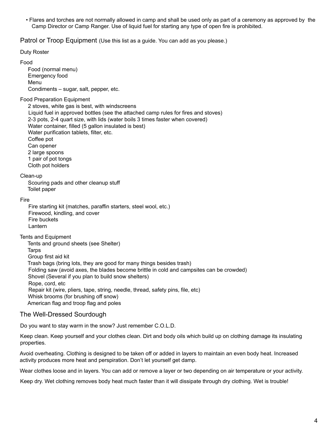• Flares and torches are not normally allowed in camp and shall be used only as part of a ceremony as approved by the Camp Director or Camp Ranger. Use of liquid fuel for starting any type of open fire is prohibited.

Patrol or Troop Equipment (Use this list as a guide. You can add as you please.)

Duty Roster

Food

Food (normal menu) Emergency food Menu Condiments – sugar, salt, pepper, etc.

#### Food Preparation Equipment

2 stoves, white gas is best, with windscreens Liquid fuel in approved bottles (see the attached camp rules for fires and stoves) 2-3 pots, 2-4 quart size, with lids (water boils 3 times faster when covered) Water container, filled (5 gallon insulated is best) Water purification tablets, filter, etc. Coffee pot Can opener 2 large spoons 1 pair of pot tongs Cloth pot holders

Clean-up

Scouring pads and other cleanup stuff Toilet paper

Fire

Fire starting kit (matches, paraffin starters, steel wool, etc.) Firewood, kindling, and cover Fire buckets Lantern

Tents and Equipment

Tents and ground sheets (see Shelter) **Tarps** Group first aid kit Trash bags (bring lots, they are good for many things besides trash) Folding saw (avoid axes, the blades become brittle in cold and campsites can be crowded) Shovel (Several if you plan to build snow shelters) Rope, cord, etc Repair kit (wire, pliers, tape, string, needle, thread, safety pins, file, etc) Whisk brooms (for brushing off snow) American flag and troop flag and poles

#### The Well-Dressed Sourdough

Do you want to stay warm in the snow? Just remember C.O.L.D.

Keep clean. Keep yourself and your clothes clean. Dirt and body oils which build up on clothing damage its insulating properties.

Avoid overheating. Clothing is designed to be taken off or added in layers to maintain an even body heat. Increased activity produces more heat and perspiration. Don't let yourself get damp.

Wear clothes loose and in layers. You can add or remove a layer or two depending on air temperature or your activity.

Keep dry. Wet clothing removes body heat much faster than it will dissipate through dry clothing. Wet is trouble!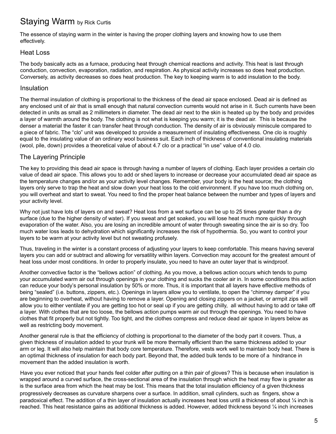## Staying Warm by Rick Curtis

The essence of staying warm in the winter is having the proper clothing layers and knowing how to use them effectively.

### Heat Loss

The body basically acts as a furnace, producing heat through chemical reactions and activity. This heat is last through conduction, convection, evaporation, radiation, and respiration. As physical activity increases so does heat production. Conversely, as activity decreases so does heat production. The key to keeping warm is to add insulation to the body.

### Insulation

The thermal insulation of clothing is proportional to the thickness of the dead air space enclosed. Dead air is defined as any enclosed unit of air that is small enough that natural convection currents would not arise in it. Such currents have been detected in units as small as 2 millimeters in diameter. The dead air next to the skin is heated up by the body and provides a layer of warmth around the body. The clothing is not what is keeping you warm; it is the dead air. This is because the denser a material the faster it can transfer heat through conduction. The density of air is obviously miniscule compared to a piece of fabric. The "clo" unit was developed to provide a measurement of insulating effectiveness. One clo is roughly equal to the insulating value of an ordinary wool business suit. Each inch of thickness of conventional insulating materials (wool, pile, down) provides a theoretical value of about 4.7 clo or a practical "in use" value of 4.0 clo.

## The Layering Principle

The key to providing this dead air space is through having a number of layers of clothing. Each layer provides a certain clo value of dead air space. This allows you to add or shed layers to increase or decrease your accumulated dead air space as the temperature changes and/or as your activity level changes. Remember, your body is the heat source; the clothing layers only serve to trap the heat and slow down your heat loss to the cold environment. If you have too much clothing on, you will overheat and start to sweat. You need to find the proper heat balance between the number and types of layers and your activity level.

Why not just have lots of layers on and sweat? Heat loss from a wet surface can be up to 25 times greater than a dry surface (due to the higher density of water). If you sweat and get soaked, you will lose heat much more quickly through evaporation of the water. Also, you are losing an incredible amount of water through sweating since the air is so dry. Too much water loss leads to dehydration which significantly increases the risk of hypothermia. So, you want to control your layers to be warm at your activity level but not sweating profusely.

Thus, traveling in the winter is a constant process of adjusting your layers to keep comfortable. This means having several layers you can add or subtract and allowing for versatility within layers. Convection may account for the greatest amount of heat loss under most conditions. In order to properly insulate, you need to have an outer layer that is windproof.

Another convective factor is the "bellows action" of clothing. As you move, a bellows action occurs which tends to pump your accumulated warm air out through openings in your clothing and sucks the cooler air in. In some conditions this action can reduce your body's personal insulation by 50% or more. Thus, it is important that all layers have effective methods of being "sealed" (i.e. buttons, zippers, etc.). Openings in layers allow you to ventilate, to open the "chimney damper" if you are beginning to overheat, without having to remove a layer. Opening and closing zippers on a jacket, or armpit zips will allow you to either ventilate if you are getting too hot or seal up if you are getting chilly, all without having to add or take off a layer. With clothes that are too loose, the bellows action pumps warm air out through the openings. You need to have clothes that fit properly but not tightly. Too tight, and the clothes compress and reduce dead air space in layers below as well as restricting body movement.

Another general rule is that the efficiency of clothing is proportional to the diameter of the body part it covers. Thus, a given thickness of insulation added to your trunk will be more thermally efficient than the same thickness added to your arm or leg. It will also help maintain that body core temperature. Therefore, vests work well to maintain body heat. There is an optimal thickness of insulation for each body part. Beyond that, the added bulk tends to be more of a hindrance in movement than the added insulation is worth.

Have you ever noticed that your hands feel colder after putting on a thin pair of gloves? This is because when insulation is wrapped around a curved surface, the cross-sectional area of the insulation through which the heat may flow is greater as is the surface area from which the heat may be lost. This means that the total insulation efficiency of a given thickness progressively decreases as curvature sharpens over a surface. In addition, small cylinders, such as fingers, show a paradoxical effect. The addition of a thin layer of insulation actually increases heat loss until a thickness of about ¼ inch is reached. This heat resistance gains as additional thickness is added. However, added thickness beyond 1/4 inch increases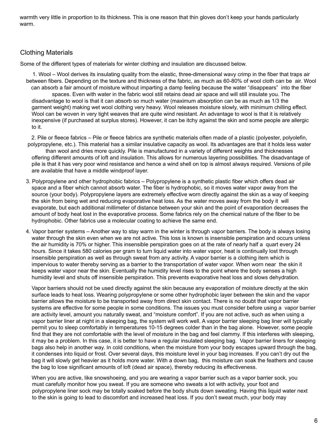warmth very little in proportion to its thickness. This is one reason that thin gloves don't keep your hands particularly warm.

## Clothing Materials

Some of the different types of materials for winter clothing and insulation are discussed below.

1. Wool – Wool derives its insulating quality from the elastic, three-dimensional wavy crimp in the fiber that traps air between fibers. Depending on the texture and thickness of the fabric, as much as 60-80% of wool cloth can be air. Wool can absorb a fair amount of moisture without imparting a damp feeling because the water "disappears" into the fiber spaces. Even with water in the fabric wool still retains dead air space and will still insulate you. The disadvantage to wool is that it can absorb so much water (maximum absorption can be as much as 1/3 the garment weight) making wet wool clothing very heavy. Wool releases moisture slowly, with minimum chilling effect. Wool can be woven in very tight weaves that are quite wind resistant. An advantage to wool is that it is relatively inexpensive (if purchased at surplus stores). However, it can be itchy against the skin and some people are allergic to it.

2. Pile or fleece fabrics – Pile or fleece fabrics are synthetic materials often made of a plastic (polyester, polyolefin, polypropylene, etc.). This material has a similar insulative capacity as wool. Its advantages are that it holds less water than wool and dries more quickly. Pile is manufactured in a variety of different weights and thicknesses offering different amounts of loft and insulation. This allows for numerous layering possibilities. The disadvantage of pile is that it has very poor wind resistance and hence a wind shell on top is almost always required. Versions of pile are available that have a middle windproof layer.

- 3. Polypropylene and other hydrophobic fabrics Polypropylene is a synthetic plastic fiber which offers dead air space and a fiber which cannot absorb water. The fiber is hydrophobic, so it moves water vapor away from the source (your body). Polypropylene layers are extremely effective worn directly against the skin as a way of keeping the skin from being wet and reducing evaporative heat loss. As the water moves away from the body it will evaporate, but each additional millimeter of distance between your skin and the point of evaporation decreases the amount of body heat lost in the evaporative process. Some fabrics rely on the chemical nature of the fiber to be hydrophobic. Other fabrics use a molecular coating to achieve the same end.
- 4. Vapor barrier systems Another way to stay warm in the winter is through vapor barriers. The body is always losing water through the skin even when we are not active. This loss is known is insensible perspiration and occurs unless the air humidity is 70% or higher. This insensible perspiration goes on at the rate of nearly half a quart every 24 hours. Since it takes 580 calories per gram to turn liquid water into water vapor, heat is continually lost through insensible perspiration as well as through sweat from any activity. A vapor barrier is a clothing item which is impervious to water thereby serving as a barrier to the transportation of water vapor. When worn near the skin it keeps water vapor near the skin. Eventually the humidity level rises to the point where the body senses a high humidity level and shuts off insensible perspiration. This prevents evaporative heat loss and slows dehydration.

Vapor barriers should not be used directly against the skin because any evaporation of moisture directly at the skin surface leads to heat loss. Wearing polypropylene or some other hydrophobic layer between the skin and the vapor barrier allows the moisture to be transported away from direct skin contact. There is no doubt that vapor barrier systems are effective for some people in some conditions. The issues you must consider before using a vapor barrier are activity level, amount you naturally sweat, and "moisture comfort". If you are not active, such as when using a vapor barrier liner at night in a sleeping bag, the system will work well. A vapor barrier sleeping bag liner will typically permit you to sleep comfortably in temperatures 10-15 degrees colder than in the bag alone. However, some people find that they are not comfortable with the level of moisture in the bag and feel clammy. If this interferes with sleeping, it may be a problem. In this case, it is better to have a regular insulated sleeping bag. Vapor barrier liners for sleeping bags also help in another way. In cold conditions, when the moisture from your body escapes upward through the bag, it condenses into liquid or frost. Over several days, this moisture level in your bag increases. If you can't dry out the bag it will slowly get heavier as it holds more water. With a down bag, this moisture can soak the feathers and cause the bag to lose significant amounts of loft (dead air space), thereby reducing its effectiveness.

When you are active, like snowshoeing, and you are wearing a vapor barrier such as a vapor barrier sock, you must carefully monitor how you sweat. If you are someone who sweats a lot with activity, your foot and polypropylene liner sock may be totally soaked before the body shuts down sweating. Having this liquid water next to the skin is going to lead to discomfort and increased heat loss. If you don't sweat much, your body may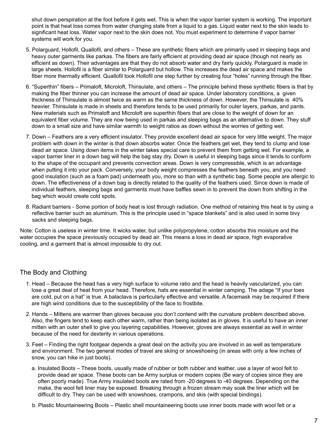shut down perspiration at the foot before it gets wet. This is when the vapor barrier system is working. The important point is that heat loss comes from water changing state from a liquid to a gas. Liquid water next to the skin leads to significant heat loss. Water vapor next to the skin does not. You must experiment to determine if vapor barrier systems will work for you.

- 5. Polarguard, Hollofil, Quallofil, and others These are synthetic fibers which are primarily used in sleeping bags and heavy outer garments like parkas. The fibers are fairly efficient at providing dead air space (though not nearly as efficient as down). Their advantages are that they do not absorb water and dry fairly quickly. Polarguard is made in large sheets. Hollofil is a fiber similar to Polarguard but hollow. This increases the dead air space and makes the fiber more thermally efficient. Quallofil took Hollofil one step further by creating four "holes" running through the fiber.
- 6. "Superthin" fibers Primaloft, Microloft, Thinsulate, and others The principle behind these synthetic fibers is that by making the fiber thinner you can increase the amount of dead air space. Under laboratory conditions, a given thickness of Thinsulate is almost twice as warm as the same thickness of down. However, the Thinsulate is 40% heavier. Thinsulate is made in sheets and therefore tends to be used primarily for outer layers, parkas, and pants. New materials such as Primaloft and Microloft are superthin fibers that are close to the weight of down for an equivalent fiber volume. They are now being used in parkas and sleeping bags as an alternative to down. They stuff down to a small size and have similar warmth to weight ratios as down without the worries of getting wet.
- 7. Down Feathers are a very efficient insulator. They provide excellent dead air space for very little weight. The major problem with down in the winter is that down absorbs water. Once the feathers get wet, they tend to clump and lose dead air space. Using down items in the winter takes special care to prevent them from getting wet. For example, a vapor barrier liner in a down bag will help the bag stay dry. Down is useful in sleeping bags since it tends to conform to the shape of the occupant and prevents convection areas. Down is very compressible, which is an advantage when putting it into your pack. Conversely, your body weight compresses the feathers beneath you, and you need good insulation (such as a foam pad) underneath you, more so than with a synthetic bag. Some people are allergic to down. The effectiveness of a down bag is directly related to the quality of the feathers used. Since down is made of individual feathers, sleeping bags and garments must have baffles sewn in to prevent the down from shifting in the bag which would create cold spots.
- 8. Radiant barriers Some portion of body heat is lost through radiation. One method of retaining this heat is by using a reflective barrier such as aluminum. This is the principle used in "space blankets" and is also used in some bivy sacks and sleeping bags.

Note: Cotton is useless in winter time. It wicks water, but unlike polypropylene, cotton absorbs this moisture and the water occupies the space previously occupied by dead air. This means a loss in dead air space, high evaporative cooling, and a garment that is almost impossible to dry out.

## The Body and Clothing

- 1. Head Because the head has a very high surface to volume ratio and the head is heavily vascularized, you can lose a great deal of heat from your head. Therefore, hats are essential in winter camping. The adage "If your toes are cold, put on a hat" is true. A balaclava is particularly effective and versatile. A facemask may be required if there are high wind conditions due to the susceptibility of the face to frostbite.
- 2. Hands Mittens are warmer than gloves because you don't contend with the curvature problem described above. Also, the fingers tend to keep each other warm, rather than being isolated as in gloves. It is useful to have an inner mitten with an outer shell to give you layering capabilities. However, gloves are always essential as well in winter because of the need for dexterity in various operations.
- 3. Feet Finding the right footgear depends a great deal on the activity you are involved in as well as temperature and environment. The two general modes of travel are skiing or snowshoeing (in areas with only a few inches of snow, you can hike in just boots).
	- a. Insulated Boots These boots, usually made of rubber or both rubber and leather, use a layer of wool felt to provide dead air space. These boots can be Army surplus or modern copies (Be wary of copies since they are often poorly made). True Army insulated boots are rated from -20 degrees to -40 degrees. Depending on the make, the wool felt liner may be exposed. Breaking through a frozen stream may soak the liner which will be difficult to dry. They can be used with snowshoes, crampons, and skis (with special bindings).
	- b. Plastic Mountaineering Boots Plastic shell mountaineering boots use inner boots made with wool felt or a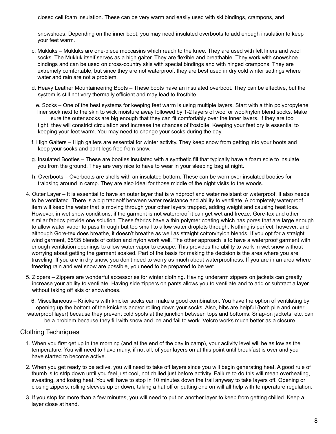closed cell foam insulation. These can be very warm and easily used with ski bindings, crampons, and

snowshoes. Depending on the inner boot, you may need insulated overboots to add enough insulation to keep your feet warm.

- c. Mukluks Mukluks are one-piece moccasins which reach to the knee. They are used with felt liners and wool socks. The Mukluk itself serves as a high gaiter. They are flexible and breathable. They work with snowshoe bindings and can be used on cross-country skis with special bindings and with hinged crampons. They are extremely comfortable, but since they are not waterproof, they are best used in dry cold winter settings where water and rain are not a problem.
- d. Heavy Leather Mountaineering Boots These boots have an insulated overboot. They can be effective, but the system is still not very thermally efficient and may lead to frostbite.

e. Socks – One of the best systems for keeping feet warm is using multiple layers. Start with a thin polypropylene liner sock next to the skin to wick moisture away followed by 1-2 layers of wool or wool/nylon blend socks. Make sure the outer socks are big enough that they can fit comfortably over the inner layers. If they are too tight, they will constrict circulation and increase the chances of frostbite. Keeping your feet dry is essential to keeping your feet warm. You may need to change your socks during the day.

- f. High Gaiters High gaiters are essential for winter activity. They keep snow from getting into your boots and keep your socks and pant legs free from snow.
- g. Insulated Booties These are booties insulated with a synthetic fill that typically have a foam sole to insulate you from the ground. They are very nice to have to wear in your sleeping bag at night.
- h. Overboots Overboots are shells with an insulated bottom. These can be worn over insulated booties for traipsing around in camp. They are also ideal for those middle of the night visits to the woods.
- 4. Outer Layer It is essential to have an outer layer that is windproof and water resistant or waterproof. It also needs to be ventilated. There is a big tradeoff between water resistance and ability to ventilate. A completely waterproof item will keep the water that is moving through your other layers trapped, adding weight and causing heat loss. However, in wet snow conditions, if the garment is not waterproof it can get wet and freeze. Gore-tex and other similar fabrics provide one solution. These fabrics have a thin polymer coating which has pores that are large enough to allow water vapor to pass through but too small to allow water droplets through. Nothing is perfect, however, and although Gore-tex does breathe, it doesn't breathe as well as straight cotton/nylon blends. If you opt for a straight wind garment, 65/35 blends of cotton and nylon work well. The other approach is to have a waterproof garment with enough ventilation openings to allow water vapor to escape. This provides the ability to work in wet snow without worrying about getting the garment soaked. Part of the basis for making the decision is the area where you are traveling. If you are in dry snow, you don't need to worry as much about waterproofness. If you are in an area where freezing rain and wet snow are possible, you need to be prepared to be wet.
- 5. Zippers Zippers are wonderful accessories for winter clothing. Having underarm zippers on jackets can greatly increase your ability to ventilate. Having side zippers on pants allows you to ventilate and to add or subtract a layer without taking off skis or snowshoes.

6. Miscellaneous – Knickers with knicker socks can make a good combination. You have the option of ventilating by opening up the bottom of the knickers and/or rolling down your socks. Also, bibs are helpful (both pile and outer waterproof layer) because they prevent cold spots at the junction between tops and bottoms. Snap-on jackets, etc. can be a problem because they fill with snow and ice and fail to work. Velcro works much better as a closure.

## Clothing Techniques

- 1. When you first get up in the morning (and at the end of the day in camp), your activity level will be as low as the temperature. You will need to have many, if not all, of your layers on at this point until breakfast is over and you have started to become active.
- 2. When you get ready to be active, you will need to take off layers since you will begin generating heat. A good rule of thumb is to strip down until you feel just cool, not chilled just before activity. Failure to do this will mean overheating, sweating, and losing heat. You will have to stop in 10 minutes down the trail anyway to take layers off. Opening or closing zippers, rolling sleeves up or down, taking a hat off or putting one on will all help with temperature regulation.
- 3. If you stop for more than a few minutes, you will need to put on another layer to keep from getting chilled. Keep a layer close at hand.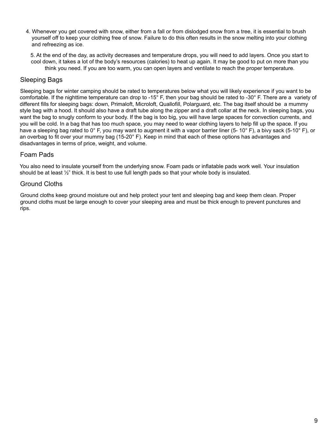4. Whenever you get covered with snow, either from a fall or from dislodged snow from a tree, it is essential to brush yourself off to keep your clothing free of snow. Failure to do this often results in the snow melting into your clothing and refreezing as ice.

5. At the end of the day, as activity decreases and temperature drops, you will need to add layers. Once you start to cool down, it takes a lot of the body's resources (calories) to heat up again. It may be good to put on more than you think you need. If you are too warm, you can open layers and ventilate to reach the proper temperature.

## Sleeping Bags

Sleeping bags for winter camping should be rated to temperatures below what you will likely experience if you want to be comfortable. If the nighttime temperature can drop to -15° F, then your bag should be rated to -30° F. There are a variety of different fills for sleeping bags: down, Primaloft, Microloft, Quallofill, Polarguard, etc. The bag itself should be a mummy style bag with a hood. It should also have a draft tube along the zipper and a draft collar at the neck. In sleeping bags, you want the bag to snugly conform to your body. If the bag is too big, you will have large spaces for convection currents, and you will be cold. In a bag that has too much space, you may need to wear clothing layers to help fill up the space. If you have a sleeping bag rated to 0° F, you may want to augment it with a vapor barrier liner (5-10° F), a bivy sack (5-10° F), or an overbag to fit over your mummy bag (15-20° F). Keep in mind that each of these options has advantages and disadvantages in terms of price, weight, and volume.

## Foam Pads

You also need to insulate yourself from the underlying snow. Foam pads or inflatable pads work well. Your insulation should be at least ½" thick. It is best to use full length pads so that your whole body is insulated.

## Ground Cloths

Ground cloths keep ground moisture out and help protect your tent and sleeping bag and keep them clean. Proper ground cloths must be large enough to cover your sleeping area and must be thick enough to prevent punctures and rips.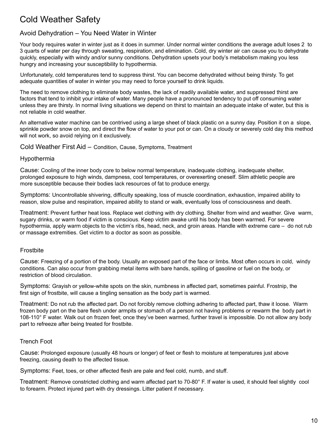## Cold Weather Safety

## Avoid Dehydration – You Need Water in Winter

Your body requires water in winter just as it does in summer. Under normal winter conditions the average adult loses 2 to 3 quarts of water per day through sweating, respiration, and elimination. Cold, dry winter air can cause you to dehydrate quickly, especially with windy and/or sunny conditions. Dehydration upsets your body's metabolism making you less hungry and increasing your susceptibility to hypothermia.

Unfortunately, cold temperatures tend to suppress thirst. You can become dehydrated without being thirsty. To get adequate quantities of water in winter you may need to force yourself to drink liquids.

The need to remove clothing to eliminate body wastes, the lack of readily available water, and suppressed thirst are factors that tend to inhibit your intake of water. Many people have a pronounced tendency to put off consuming water unless they are thirsty. In normal living situations we depend on thirst to maintain an adequate intake of water, but this is not reliable in cold weather.

An alternative water machine can be contrived using a large sheet of black plastic on a sunny day. Position it on a slope, sprinkle powder snow on top, and direct the flow of water to your pot or can. On a cloudy or severely cold day this method will not work, so avoid relying on it exclusively.

Cold Weather First Aid – Condition, Cause, Symptoms, Treatment

#### Hypothermia

Cause: Cooling of the inner body core to below normal temperature, inadequate clothing, inadequate shelter, prolonged exposure to high winds, dampness, cool temperatures, or overexerting oneself. Slim athletic people are more susceptible because their bodies lack resources of fat to produce energy.

Symptoms: Uncontrollable shivering, difficulty speaking, loss of muscle coordination, exhaustion, impaired ability to reason, slow pulse and respiration, impaired ability to stand or walk, eventually loss of consciousness and death.

Treatment: Prevent further heat loss. Replace wet clothing with dry clothing. Shelter from wind and weather. Give warm, sugary drinks, or warm food if victim is conscious. Keep victim awake until his body has been warmed. For severe hypothermia, apply warm objects to the victim's ribs, head, neck, and groin areas. Handle with extreme care – do not rub or massage extremities. Get victim to a doctor as soon as possible.

#### Frostbite

Cause: Freezing of a portion of the body. Usually an exposed part of the face or limbs. Most often occurs in cold, windy conditions. Can also occur from grabbing metal items with bare hands, spilling of gasoline or fuel on the body, or restriction of blood circulation.

Symptoms: Grayish or yellow-white spots on the skin, numbness in affected part, sometimes painful. Frostnip, the first sign of frostbite, will cause a tingling sensation as the body part is warmed.

Treatment: Do not rub the affected part. Do not forcibly remove clothing adhering to affected part, thaw it loose. Warm frozen body part on the bare flesh under armpits or stomach of a person not having problems or rewarm the body part in 108-110° F water. Walk out on frozen feet; once they've been warmed, further travel is impossible. Do not allow any body part to refreeze after being treated for frostbite.

#### Trench Foot

Cause: Prolonged exposure (usually 48 hours or longer) of feet or flesh to moisture at temperatures just above freezing, causing death to the affected tissue.

Symptoms: Feet, toes, or other affected flesh are pale and feel cold, numb, and stuff.

Treatment: Remove constricted clothing and warm affected part to 70-80° F. If water is used, it should feel slightly cool to forearm. Protect injured part with dry dressings. Litter patient if necessary.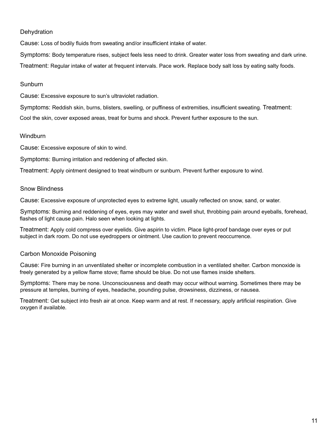#### **Dehydration**

Cause: Loss of bodily fluids from sweating and/or insufficient intake of water.

Symptoms: Body temperature rises, subject feels less need to drink. Greater water loss from sweating and dark urine. Treatment: Regular intake of water at frequent intervals. Pace work. Replace body salt loss by eating salty foods.

#### **Sunburn**

Cause: Excessive exposure to sun's ultraviolet radiation.

Symptoms: Reddish skin, burns, blisters, swelling, or puffiness of extremities, insufficient sweating. Treatment: Cool the skin, cover exposed areas, treat for burns and shock. Prevent further exposure to the sun.

#### **Windburn**

Cause: Excessive exposure of skin to wind.

Symptoms: Burning irritation and reddening of affected skin.

Treatment: Apply ointment designed to treat windburn or sunburn. Prevent further exposure to wind.

#### Snow Blindness

Cause: Excessive exposure of unprotected eyes to extreme light, usually reflected on snow, sand, or water.

Symptoms: Burning and reddening of eyes, eyes may water and swell shut, throbbing pain around eyeballs, forehead, flashes of light cause pain. Halo seen when looking at lights.

Treatment: Apply cold compress over eyelids. Give aspirin to victim. Place light-proof bandage over eyes or put subject in dark room. Do not use eyedroppers or ointment. Use caution to prevent reoccurrence.

#### Carbon Monoxide Poisoning

Cause: Fire burning in an unventilated shelter or incomplete combustion in a ventilated shelter. Carbon monoxide is freely generated by a yellow flame stove; flame should be blue. Do not use flames inside shelters.

Symptoms: There may be none. Unconsciousness and death may occur without warning. Sometimes there may be pressure at temples, burning of eyes, headache, pounding pulse, drowsiness, dizziness, or nausea.

Treatment: Get subject into fresh air at once. Keep warm and at rest. If necessary, apply artificial respiration. Give oxygen if available.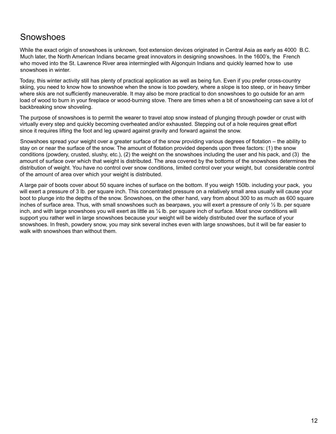## **Snowshoes**

While the exact origin of snowshoes is unknown, foot extension devices originated in Central Asia as early as 4000 B.C. Much later, the North American Indians became great innovators in designing snowshoes. In the 1600's, the French who moved into the St. Lawrence River area intermingled with Algonquin Indians and quickly learned how to use snowshoes in winter.

Today, this winter activity still has plenty of practical application as well as being fun. Even if you prefer cross-country skiing, you need to know how to snowshoe when the snow is too powdery, where a slope is too steep, or in heavy timber where skis are not sufficiently maneuverable. It may also be more practical to don snowshoes to go outside for an arm load of wood to burn in your fireplace or wood-burning stove. There are times when a bit of snowshoeing can save a lot of backbreaking snow shoveling.

The purpose of snowshoes is to permit the wearer to travel atop snow instead of plunging through powder or crust with virtually every step and quickly becoming overheated and/or exhausted. Stepping out of a hole requires great effort since it requires lifting the foot and leg upward against gravity and forward against the snow.

Snowshoes spread your weight over a greater surface of the snow providing various degrees of flotation – the ability to stay on or near the surface of the snow. The amount of flotation provided depends upon three factors: (1) the snow conditions (powdery, crusted, slushy, etc.), (2) the weight on the snowshoes including the user and his pack, and (3) the amount of surface over which that weight is distributed. The area covered by the bottoms of the snowshoes determines the distribution of weight. You have no control over snow conditions, limited control over your weight, but considerable control of the amount of area over which your weight is distributed.

A large pair of boots cover about 50 square inches of surface on the bottom. If you weigh 150lb. including your pack, you will exert a pressure of 3 lb. per square inch. This concentrated pressure on a relatively small area usually will cause your boot to plunge into the depths of the snow. Snowshoes, on the other hand, vary from about 300 to as much as 600 square inches of surface area. Thus, with small snowshoes such as bearpaws, you will exert a pressure of only ½ lb. per square inch, and with large snowshoes you will exert as little as  $\frac{1}{4}$  lb. per square inch of surface. Most snow conditions will support you rather well in large snowshoes because your weight will be widely distributed over the surface of your snowshoes. In fresh, powdery snow, you may sink several inches even with large snowshoes, but it will be far easier to walk with snowshoes than without them.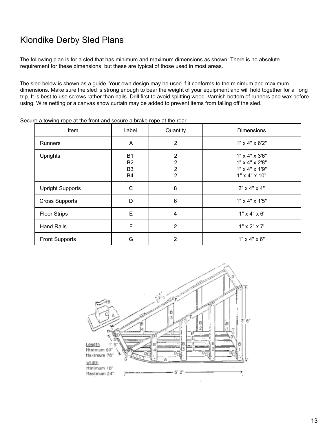## Klondike Derby Sled Plans

The following plan is for a sled that has minimum and maximum dimensions as shown. There is no absolute requirement for these dimensions, but these are typical of those used in most areas.

The sled below is shown as a guide. Your own design may be used if it conforms to the minimum and maximum dimensions. Make sure the sled is strong enough to bear the weight of your equipment and will hold together for a long trip. It is best to use screws rather than nails. Drill first to avoid splitting wood. Varnish bottom of runners and wax before using. Wire netting or a canvas snow curtain may be added to prevent items from falling off the sled.

| Item                    | Label                                                 | Quantity                                                | <b>Dimensions</b>                                                                                                   |
|-------------------------|-------------------------------------------------------|---------------------------------------------------------|---------------------------------------------------------------------------------------------------------------------|
| <b>Runners</b>          | A                                                     | $\overline{2}$                                          | $1" \times 4" \times 6'2"$                                                                                          |
| <b>Uprights</b>         | <b>B1</b><br><b>B2</b><br>B <sub>3</sub><br><b>B4</b> | 2<br>$\overline{2}$<br>$\overline{2}$<br>$\overline{2}$ | $1" \times 4" \times 3'6"$<br>$1" \times 4" \times 2'8"$<br>$1" \times 4" \times 1'9"$<br>$1" \times 4" \times 10"$ |
| <b>Upright Supports</b> | C                                                     | 8                                                       | $2" \times 4" \times 4"$                                                                                            |
| <b>Cross Supports</b>   | D                                                     | 6                                                       | $1" \times 4" \times 1'5"$                                                                                          |
| <b>Floor Strips</b>     | E                                                     | $\overline{4}$                                          | $1" \times 4" \times 6'$                                                                                            |
| <b>Hand Rails</b>       | F                                                     | $\overline{2}$                                          | $1" \times 2" \times 7'$                                                                                            |
| <b>Front Supports</b>   | G                                                     | 2                                                       | $1" \times 4" \times 6"$                                                                                            |

Secure a towing rope at the front and secure a brake rope at the rear.

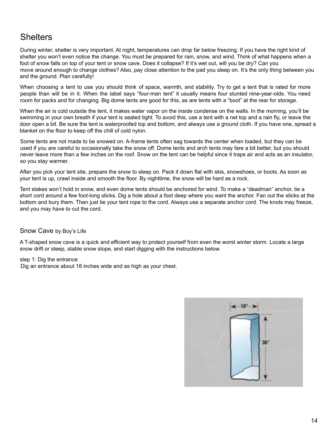## **Shelters**

During winter, shelter is very important. At night, temperatures can drop far below freezing. If you have the right kind of shelter you won't even notice the change. You must be prepared for rain, snow, and wind. Think of what happens when a foot of snow falls on top of your tent or snow cave. Does it collapse? If it's wet out, will you be dry? Can you move around enough to change clothes? Also, pay close attention to the pad you sleep on. It's the only thing between you and the ground. Plan carefully!

When choosing a tent to use you should think of space, warmth, and stability. Try to get a tent that is rated for more people than will be in it. When the label says "four-man tent" it usually means four stunted nine-year-olds. You need room for packs and for changing. Big dome tents are good for this, as are tents with a "boot" at the rear for storage.

When the air is cold outside the tent, it makes water vapor on the inside condense on the walls. In the morning, you'll be swimming in your own breath if your tent is sealed tight. To avoid this, use a tent with a net top and a rain fly, or leave the door open a bit. Be sure the tent is waterproofed top and bottom, and always use a ground cloth. If you have one, spread a blanket on the floor to keep off the chill of cold nylon.

Some tents are not made to be snowed on. A-frame tents often sag towards the center when loaded, but they can be used if you are careful to occasionally take the snow off. Dome tents and arch tents may fare a bit better, but you should never leave more than a few inches on the roof. Snow on the tent can be helpful since it traps air and acts as an insulator, so you stay warmer.

After you pick your tent site, prepare the snow to sleep on. Pack it down flat with skis, snowshoes, or boots. As soon as your tent is up, crawl inside and smooth the floor. By nighttime, the snow will be hard as a rock.

Tent stakes won't hold in snow, and even dome tents should be anchored for wind. To make a "deadman" anchor, tie a short cord around a few foot-long sticks. Dig a hole about a foot deep where you want the anchor. Fan out the sticks at the bottom and bury them. Then just tie your tent rope to the cord. Always use a separate anchor cord. The knots may freeze, and you may have to cut the cord.

#### Snow Cave by Boy's Life

A T-shaped snow cave is a quick and efficient way to protect yourself from even the worst winter storm. Locate a large snow drift or steep, stable snow slope, and start digging with the instructions below.

step 1: Dig the entrance Dig an entrance about 18 inches wide and as high as your chest.

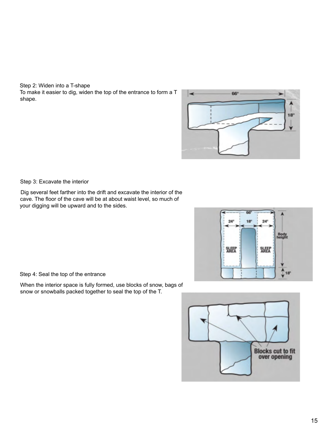Step 2: Widen into a T-shape To make it easier to dig, widen the top of the entrance to form a T shape.



Step 3: Excavate the interior

Dig several feet farther into the drift and excavate the interior of the cave. The floor of the cave will be at about waist level, so much of your digging will be upward and to the sides.



Step 4: Seal the top of the entrance

When the interior space is fully formed, use blocks of snow, bags of snow or snowballs packed together to seal the top of the T.

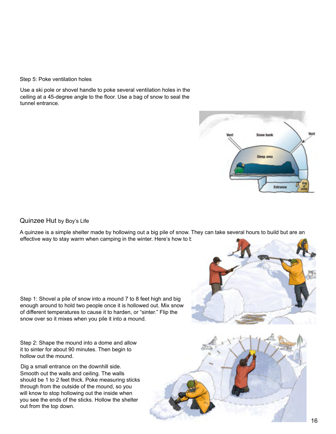#### Step 5: Poke ventilation holes

Use a ski pole or shovel handle to poke several ventilation holes in the ceiling at a 45-degree angle to the floor. Use a bag of snow to seal the tunnel entrance.



#### Quinzee Hut by Boy's Life

A quinzee is a simple shelter made by hollowing out a big pile of snow. They can take several hours to build but are an effective way to stay warm when camping in the winter. Here's how to build

Step 1: Shovel a pile of snow into a mound 7 to 8 feet high and big enough around to hold two people once it is hollowed out. Mix snow of different temperatures to cause it to harden, or "sinter." Flip the snow over so it mixes when you pile it into a mound.

Step 2: Shape the mound into a dome and allow it to sinter for about 90 minutes. Then begin to hollow out the mound.

Dig a small entrance on the downhill side. Smooth out the walls and ceiling. The walls should be 1 to 2 feet thick. Poke measuring sticks through from the outside of the mound, so you will know to stop hollowing out the inside when you see the ends of the sticks. Hollow the shelter out from the top down.